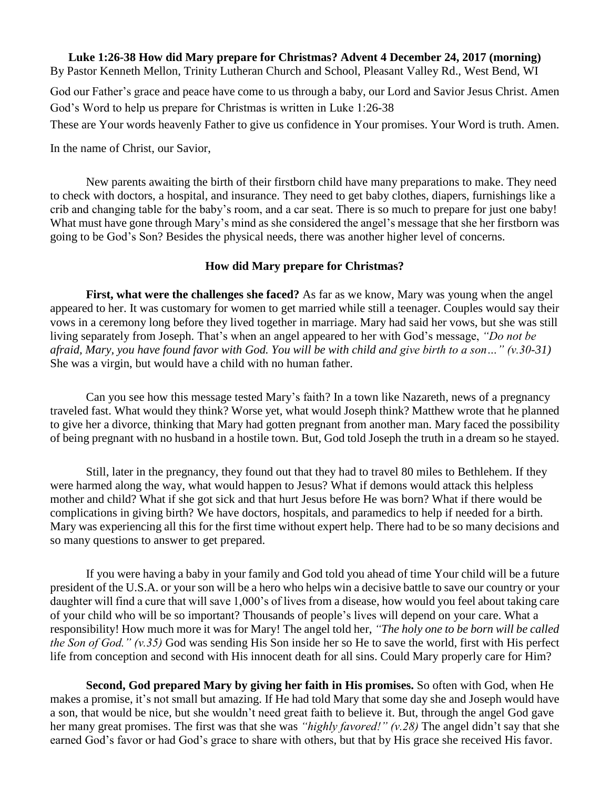## **Luke 1:26-38 How did Mary prepare for Christmas? Advent 4 December 24, 2017 (morning)** By Pastor Kenneth Mellon, Trinity Lutheran Church and School, Pleasant Valley Rd., West Bend, WI

God our Father's grace and peace have come to us through a baby, our Lord and Savior Jesus Christ. Amen God's Word to help us prepare for Christmas is written in Luke 1:26-38

These are Your words heavenly Father to give us confidence in Your promises. Your Word is truth. Amen.

In the name of Christ, our Savior,

New parents awaiting the birth of their firstborn child have many preparations to make. They need to check with doctors, a hospital, and insurance. They need to get baby clothes, diapers, furnishings like a crib and changing table for the baby's room, and a car seat. There is so much to prepare for just one baby! What must have gone through Mary's mind as she considered the angel's message that she her firstborn was going to be God's Son? Besides the physical needs, there was another higher level of concerns.

## **How did Mary prepare for Christmas?**

**First, what were the challenges she faced?** As far as we know, Mary was young when the angel appeared to her. It was customary for women to get married while still a teenager. Couples would say their vows in a ceremony long before they lived together in marriage. Mary had said her vows, but she was still living separately from Joseph. That's when an angel appeared to her with God's message, *"Do not be afraid, Mary, you have found favor with God. You will be with child and give birth to a son…" (v.30-31)* She was a virgin, but would have a child with no human father.

Can you see how this message tested Mary's faith? In a town like Nazareth, news of a pregnancy traveled fast. What would they think? Worse yet, what would Joseph think? Matthew wrote that he planned to give her a divorce, thinking that Mary had gotten pregnant from another man. Mary faced the possibility of being pregnant with no husband in a hostile town. But, God told Joseph the truth in a dream so he stayed.

Still, later in the pregnancy, they found out that they had to travel 80 miles to Bethlehem. If they were harmed along the way, what would happen to Jesus? What if demons would attack this helpless mother and child? What if she got sick and that hurt Jesus before He was born? What if there would be complications in giving birth? We have doctors, hospitals, and paramedics to help if needed for a birth. Mary was experiencing all this for the first time without expert help. There had to be so many decisions and so many questions to answer to get prepared.

If you were having a baby in your family and God told you ahead of time Your child will be a future president of the U.S.A. or your son will be a hero who helps win a decisive battle to save our country or your daughter will find a cure that will save 1,000's of lives from a disease, how would you feel about taking care of your child who will be so important? Thousands of people's lives will depend on your care. What a responsibility! How much more it was for Mary! The angel told her, *"The holy one to be born will be called the Son of God." (v.35)* God was sending His Son inside her so He to save the world, first with His perfect life from conception and second with His innocent death for all sins. Could Mary properly care for Him?

**Second, God prepared Mary by giving her faith in His promises.** So often with God, when He makes a promise, it's not small but amazing. If He had told Mary that some day she and Joseph would have a son, that would be nice, but she wouldn't need great faith to believe it. But, through the angel God gave her many great promises. The first was that she was *"highly favored!" (v.28)* The angel didn't say that she earned God's favor or had God's grace to share with others, but that by His grace she received His favor.